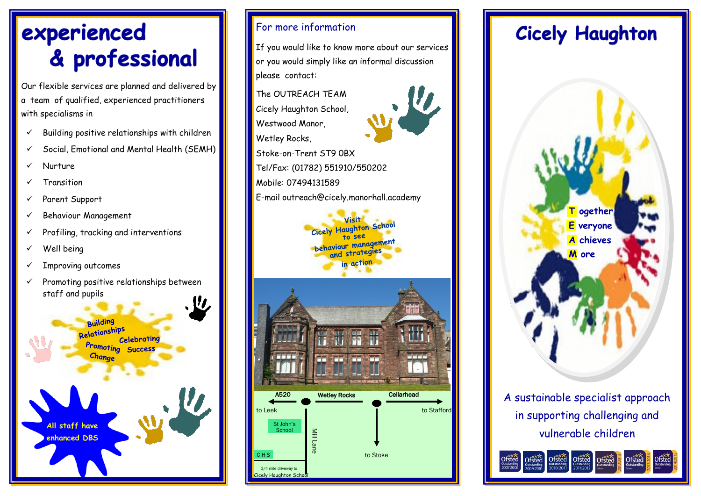# experienced & professional

Our flexible services are planned and delivered by a team of qualified, experienced practitioners with specialisms in

- Building positive relationships with children
- Social, Emotional and Mental Health (SEMH)
- Nurture
- **Transition**
- Parent Support
- Behaviour Management
- Profiling, tracking and interventions
- Well being
- Improving outcomes
- Promoting positive relationships between staff and pupils



#### For more information

If you would like to know more about our services or you would simply like an informal discussion please contact:

The OUTREACH TEAM Cicely Haughton School, Westwood Manor, Wetley Rocks,

Stoke-on-Trent ST9 0BX Tel/Fax: (01782) 551910/550202

Mobile: 07494131589

E-mail outreach@cicely.manorhall.academy





## **Cicely Haughton**



A sustainable specialist approach in supporting challenging and vulnerable children